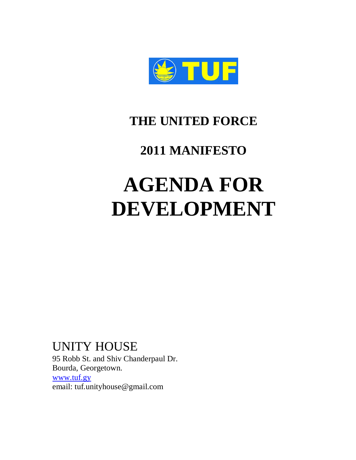

## **THE UNITED FORCE**

## **2011 MANIFESTO**

# **AGENDA FOR DEVELOPMENT**

## UNITY HOUSE

95 Robb St. and Shiv Chanderpaul Dr. Bourda, Georgetown. [www.tuf.gy](http://www.tuf.gy/) email: tuf.unityhouse@gmail.com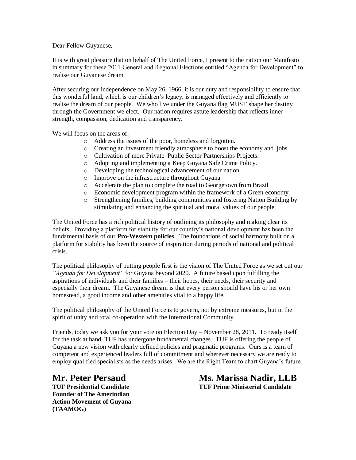Dear Fellow Guyanese,

It is with great pleasure that on behalf of The United Force, I present to the nation our Manifesto in summary for these 2011 General and Regional Elections entitled "Agenda for Development" to realise our Guyanese dream.

After securing our independence on May 26, 1966, it is our duty and responsibility to ensure that this wonderful land, which is our children's legacy, is managed effectively and efficiently to realise the dream of our people. We who live under the Guyana flag MUST shape her destiny through the Government we elect. Our nation requires astute leadership that reflects inner strength, compassion, dedication and transparency.

We will focus on the areas of:

- o Address the issues of the poor, homeless and forgotten.
- o Creating an investment friendly atmosphere to boost the economy and jobs.
- o Cultivation of more Private–Public Sector Partnerships Projects.
- o Adopting and implementing a Keep Guyana Safe Crime Policy.
- o Developing the technological advancement of our nation.
- o Improve on the infrastructure throughout Guyana
- o Accelerate the plan to complete the road to Georgetown from Brazil
- o Economic development program within the framework of a Green economy.
- o Strengthening families, building communities and fostering Nation Building by stimulating and enhancing the spiritual and moral values of our people.

The United Force has a rich political history of outlining its philosophy and making clear its beliefs. Providing a platform for stability for our country's national development has been the fundamental basis of our **Pro-Western policies**. The foundations of social harmony built on a platform for stability has been the source of inspiration during periods of national and political crisis.

The political philosophy of putting people first is the vision of The United Force as we set out our *"Agenda for Development"* for Guyana beyond 2020. A future based upon fulfilling the aspirations of individuals and their families – their hopes, their needs, their security and especially their dream. The Guyanese dream is that every person should have his or her own homestead, a good income and other amenities vital to a happy life.

The political philosophy of the United Force is to govern, not by extreme measures, but in the spirit of unity and total co-operation with the International Community.

Friends, today we ask you for your vote on Election Day – November 28, 2011. To ready itself for the task at hand, TUF has undergone fundamental changes. TUF is offering the people of Guyana a new vision with clearly defined policies and pragmatic programs.Ours is a team of competent and experienced leaders full of commitment and wherever necessary we are ready to employ qualified specialists as the needs arises. We are the Right Team to chart Guyana's future.

**Founder of The Amerindian Action Movement of Guyana (TAAMOG)**

**Mr. Peter Persaud Ms. Marissa Nadir, LLB TUF Presidential Candidate TUF Prime Ministerial Candidate**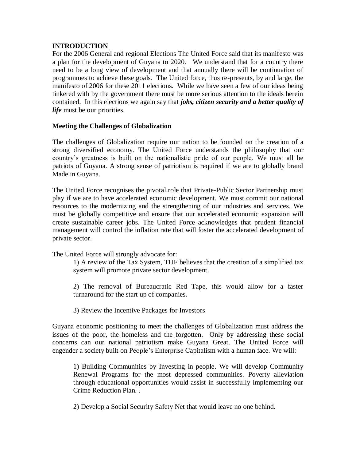#### **INTRODUCTION**

For the 2006 General and regional Elections The United Force said that its manifesto was a plan for the development of Guyana to 2020. We understand that for a country there need to be a long view of development and that annually there will be continuation of programmes to achieve these goals. The United force, thus re-presents, by and large, the manifesto of 2006 for these 2011 elections. While we have seen a few of our ideas being tinkered with by the government there must be more serious attention to the ideals herein contained. In this elections we again say that *jobs, citizen security and a better quality of life* must be our priorities.

#### **Meeting the Challenges of Globalization**

The challenges of Globalization require our nation to be founded on the creation of a strong diversified economy. The United Force understands the philosophy that our country's greatness is built on the nationalistic pride of our people. We must all be patriots of Guyana. A strong sense of patriotism is required if we are to globally brand Made in Guyana.

The United Force recognises the pivotal role that Private-Public Sector Partnership must play if we are to have accelerated economic development. We must commit our national resources to the modernizing and the strengthening of our industries and services. We must be globally competitive and ensure that our accelerated economic expansion will create sustainable career jobs. The United Force acknowledges that prudent financial management will control the inflation rate that will foster the accelerated development of private sector.

The United Force will strongly advocate for:

1) A review of the Tax System, TUF believes that the creation of a simplified tax system will promote private sector development.

2) The removal of Bureaucratic Red Tape, this would allow for a faster turnaround for the start up of companies.

3) Review the Incentive Packages for Investors

Guyana economic positioning to meet the challenges of Globalization must address the issues of the poor, the homeless and the forgotten. Only by addressing these social concerns can our national patriotism make Guyana Great. The United Force will engender a society built on People's Enterprise Capitalism with a human face. We will:

1) Building Communities by Investing in people. We will develop Community Renewal Programs for the most depressed communities. Poverty alleviation through educational opportunities would assist in successfully implementing our Crime Reduction Plan. .

2) Develop a Social Security Safety Net that would leave no one behind.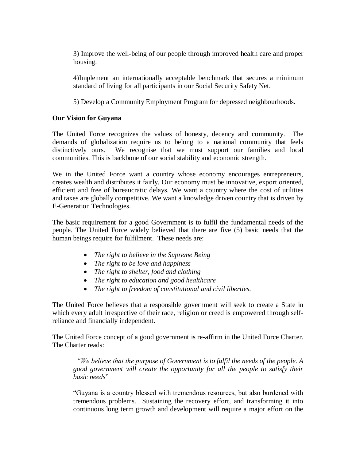3) Improve the well-being of our people through improved health care and proper housing.

4)Implement an internationally acceptable benchmark that secures a minimum standard of living for all participants in our Social Security Safety Net.

5) Develop a Community Employment Program for depressed neighbourhoods.

#### **Our Vision for Guyana**

The United Force recognizes the values of honesty, decency and community. The demands of globalization require us to belong to a national community that feels distinctively ours. We recognise that we must support our families and local communities. This is backbone of our social stability and economic strength.

We in the United Force want a country whose economy encourages entrepreneurs, creates wealth and distributes it fairly. Our economy must be innovative, export oriented, efficient and free of bureaucratic delays. We want a country where the cost of utilities and taxes are globally competitive. We want a knowledge driven country that is driven by E-Generation Technologies.

The basic requirement for a good Government is to fulfil the fundamental needs of the people. The United Force widely believed that there are five (5) basic needs that the human beings require for fulfilment. These needs are:

- *The right to believe in the Supreme Being*
- *The right to be love and happiness*
- *The right to shelter, food and clothing*
- *The right to education and good healthcare*
- *The right to freedom of constitutional and civil liberties.*

The United Force believes that a responsible government will seek to create a State in which every adult irrespective of their race, religion or creed is empowered through selfreliance and financially independent.

The United Force concept of a good government is re-affirm in the United Force Charter. The Charter reads:

 *"We believe that the purpose of Government is to fulfil the needs of the people. A good government will create the opportunity for all the people to satisfy their*  basic needs"

―Guyana is a country blessed with tremendous resources, but also burdened with tremendous problems. Sustaining the recovery effort, and transforming it into continuous long term growth and development will require a major effort on the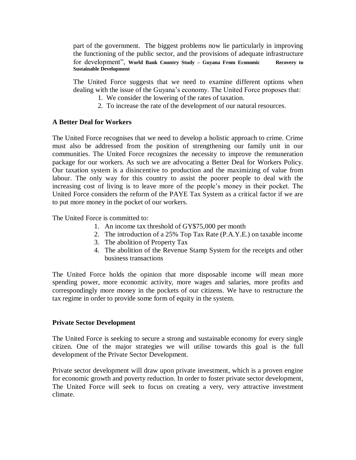part of the government. The biggest problems now lie particularly in improving the functioning of the public sector, and the provisions of adequate infrastructure for development", World Bank Country Study – Guyana From Economic Recovery to **Sustainable Development**

The United Force suggests that we need to examine different options when dealing with the issue of the Guyana's economy. The United Force proposes that:

- 1. We consider the lowering of the rates of taxation.
- 2. To increase the rate of the development of our natural resources.

#### **A Better Deal for Workers**

The United Force recognises that we need to develop a holistic approach to crime. Crime must also be addressed from the position of strengthening our family unit in our communities. The United Force recognizes the necessity to improve the remuneration package for our workers. As such we are advocating a Better Deal for Workers Policy. Our taxation system is a disincentive to production and the maximizing of value from labour. The only way for this country to assist the poorer people to deal with the increasing cost of living is to leave more of the people's money in their pocket. The United Force considers the reform of the PAYE Tax System as a critical factor if we are to put more money in the pocket of our workers.

The United Force is committed to:

- 1. An income tax threshold of GY\$75,000 per month
- 2. The introduction of a 25% Top Tax Rate (P.A.Y.E.) on taxable income
- 3. The abolition of Property Tax
- 4. The abolition of the Revenue Stamp System for the receipts and other business transactions

The United Force holds the opinion that more disposable income will mean more spending power, more economic activity, more wages and salaries, more profits and correspondingly more money in the pockets of our citizens. We have to restructure the tax regime in order to provide some form of equity in the system.

#### **Private Sector Development**

The United Force is seeking to secure a strong and sustainable economy for every single citizen. One of the major strategies we will utilise towards this goal is the full development of the Private Sector Development.

Private sector development will draw upon private investment, which is a proven engine for economic growth and poverty reduction. In order to foster private sector development, The United Force will seek to focus on creating a very, very attractive investment climate.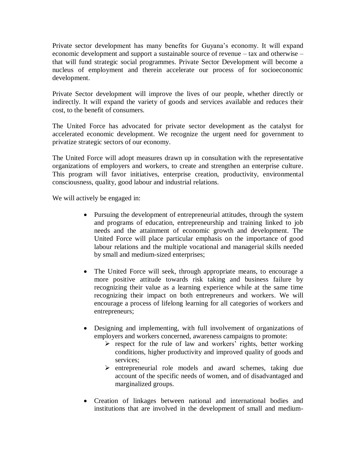Private sector development has many benefits for Guyana's economy. It will expand economic development and support a sustainable source of revenue – tax and otherwise – that will fund strategic social programmes. Private Sector Development will become a nucleus of employment and therein accelerate our process of for socioeconomic development.

Private Sector development will improve the lives of our people, whether directly or indirectly. It will expand the variety of goods and services available and reduces their cost, to the benefit of consumers.

The United Force has advocated for private sector development as the catalyst for accelerated economic development. We recognize the urgent need for government to privatize strategic sectors of our economy.

The United Force will adopt measures drawn up in consultation with the representative organizations of employers and workers, to create and strengthen an enterprise culture. This program will favor initiatives, enterprise creation, productivity, environmental consciousness, quality, good labour and industrial relations.

We will actively be engaged in:

- Pursuing the development of entrepreneurial attitudes, through the system and programs of education, entrepreneurship and training linked to job needs and the attainment of economic growth and development. The United Force will place particular emphasis on the importance of good labour relations and the multiple vocational and managerial skills needed by small and medium-sized enterprises;
- The United Force will seek, through appropriate means, to encourage a more positive attitude towards risk taking and business failure by recognizing their value as a learning experience while at the same time recognizing their impact on both entrepreneurs and workers. We will encourage a process of lifelong learning for all categories of workers and entrepreneurs;
- Designing and implementing, with full involvement of organizations of employers and workers concerned, awareness campaigns to promote:
	- $\triangleright$  respect for the rule of law and workers' rights, better working conditions, higher productivity and improved quality of goods and services;
	- $\triangleright$  entrepreneurial role models and award schemes, taking due account of the specific needs of women, and of disadvantaged and marginalized groups.
- Creation of linkages between national and international bodies and institutions that are involved in the development of small and medium-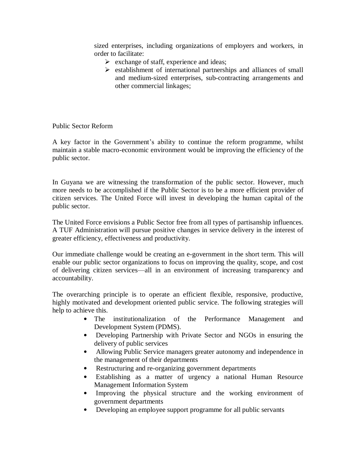sized enterprises, including organizations of employers and workers, in order to facilitate:

- $\triangleright$  exchange of staff, experience and ideas;
- $\triangleright$  establishment of international partnerships and alliances of small and medium-sized enterprises, sub-contracting arrangements and other commercial linkages;

Public Sector Reform

A key factor in the Government's ability to continue the reform programme, whilst maintain a stable macro-economic environment would be improving the efficiency of the public sector.

In Guyana we are witnessing the transformation of the public sector. However, much more needs to be accomplished if the Public Sector is to be a more efficient provider of citizen services. The United Force will invest in developing the human capital of the public sector.

The United Force envisions a Public Sector free from all types of partisanship influences. A TUF Administration will pursue positive changes in service delivery in the interest of greater efficiency, effectiveness and productivity.

Our immediate challenge would be creating an e-government in the short term. This will enable our public sector organizations to focus on improving the quality, scope, and cost of delivering citizen services—all in an environment of increasing transparency and accountability.

The overarching principle is to operate an efficient flexible, responsive, productive, highly motivated and development oriented public service. The following strategies will help to achieve this.

- The institutionalization of the Performance Management and Development System (PDMS).
- Developing Partnership with Private Sector and NGOs in ensuring the delivery of public services
- Allowing Public Service managers greater autonomy and independence in the management of their departments
- Restructuring and re-organizing government departments
- Establishing as a matter of urgency a national Human Resource Management Information System
- Improving the physical structure and the working environment of government departments
- Developing an employee support programme for all public servants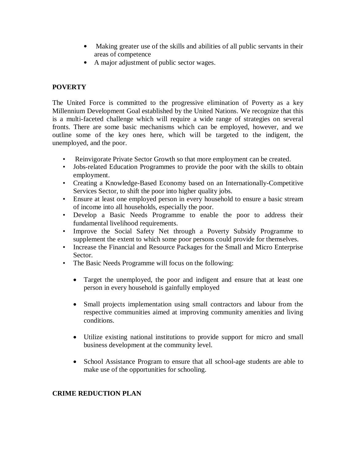- Making greater use of the skills and abilities of all public servants in their areas of competence
- A major adjustment of public sector wages.

#### **POVERTY**

The United Force is committed to the progressive elimination of Poverty as a key Millennium Development Goal established by the United Nations. We recognize that this is a multi-faceted challenge which will require a wide range of strategies on several fronts. There are some basic mechanisms which can be employed, however, and we outline some of the key ones here, which will be targeted to the indigent, the unemployed, and the poor.

- Reinvigorate Private Sector Growth so that more employment can be created.
- Jobs-related Education Programmes to provide the poor with the skills to obtain employment.
- Creating a Knowledge-Based Economy based on an Internationally-Competitive Services Sector, to shift the poor into higher quality jobs.
- Ensure at least one employed person in every household to ensure a basic stream of income into all households, especially the poor.
- Develop a Basic Needs Programme to enable the poor to address their fundamental livelihood requirements.
- Improve the Social Safety Net through a Poverty Subsidy Programme to supplement the extent to which some poor persons could provide for themselves.
- Increase the Financial and Resource Packages for the Small and Micro Enterprise Sector.
- The Basic Needs Programme will focus on the following:
	- Target the unemployed, the poor and indigent and ensure that at least one person in every household is gainfully employed
	- Small projects implementation using small contractors and labour from the respective communities aimed at improving community amenities and living conditions.
	- Utilize existing national institutions to provide support for micro and small business development at the community level.
	- School Assistance Program to ensure that all school-age students are able to make use of the opportunities for schooling.

#### **CRIME REDUCTION PLAN**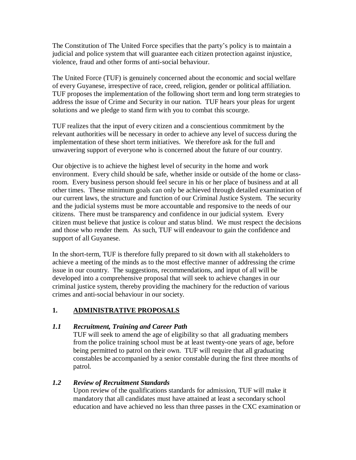The Constitution of The United Force specifies that the party's policy is to maintain a judicial and police system that will guarantee each citizen protection against injustice, violence, fraud and other forms of anti-social behaviour.

The United Force (TUF) is genuinely concerned about the economic and social welfare of every Guyanese, irrespective of race, creed, religion, gender or political affiliation. TUF proposes the implementation of the following short term and long term strategies to address the issue of Crime and Security in our nation. TUF hears your pleas for urgent solutions and we pledge to stand firm with you to combat this scourge.

TUF realizes that the input of every citizen and a conscientious commitment by the relevant authorities will be necessary in order to achieve any level of success during the implementation of these short term initiatives. We therefore ask for the full and unwavering support of everyone who is concerned about the future of our country.

Our objective is to achieve the highest level of security in the home and work environment. Every child should be safe, whether inside or outside of the home or classroom. Every business person should feel secure in his or her place of business and at all other times. These minimum goals can only be achieved through detailed examination of our current laws, the structure and function of our Criminal Justice System. The security and the judicial systems must be more accountable and responsive to the needs of our citizens. There must be transparency and confidence in our judicial system. Every citizen must believe that justice is colour and status blind. We must respect the decisions and those who render them. As such, TUF will endeavour to gain the confidence and support of all Guyanese.

In the short-term, TUF is therefore fully prepared to sit down with all stakeholders to achieve a meeting of the minds as to the most effective manner of addressing the crime issue in our country. The suggestions, recommendations, and input of all will be developed into a comprehensive proposal that will seek to achieve changes in our criminal justice system, thereby providing the machinery for the reduction of various crimes and anti-social behaviour in our society.

#### **1. ADMINISTRATIVE PROPOSALS**

#### *1.1 Recruitment, Training and Career Path*

TUF will seek to amend the age of eligibility so that all graduating members from the police training school must be at least twenty-one years of age, before being permitted to patrol on their own. TUF will require that all graduating constables be accompanied by a senior constable during the first three months of patrol.

#### *1.2 Review of Recruitment Standards*

Upon review of the qualifications standards for admission, TUF will make it mandatory that all candidates must have attained at least a secondary school education and have achieved no less than three passes in the CXC examination or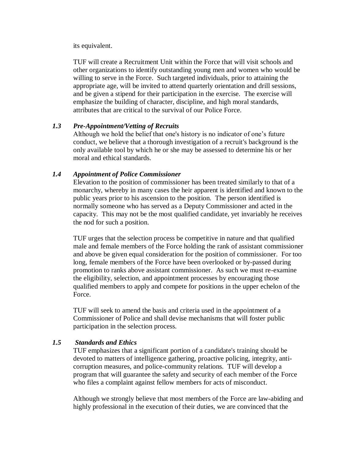#### its equivalent.

TUF will create a Recruitment Unit within the Force that will visit schools and other organizations to identify outstanding young men and women who would be willing to serve in the Force. Such targeted individuals, prior to attaining the appropriate age, will be invited to attend quarterly orientation and drill sessions, and be given a stipend for their participation in the exercise. The exercise will emphasize the building of character, discipline, and high moral standards, attributes that are critical to the survival of our Police Force.

#### *1.3 Pre-Appointment/Vetting of Recruits*

Although we hold the belief that one's history is no indicator of one's future conduct, we believe that a thorough investigation of a recruit's background is the only available tool by which he or she may be assessed to determine his or her moral and ethical standards.

#### *1.4 Appointment of Police Commissioner*

Elevation to the position of commissioner has been treated similarly to that of a monarchy, whereby in many cases the heir apparent is identified and known to the public years prior to his ascension to the position. The person identified is normally someone who has served as a Deputy Commissioner and acted in the capacity. This may not be the most qualified candidate, yet invariably he receives the nod for such a position.

TUF urges that the selection process be competitive in nature and that qualified male and female members of the Force holding the rank of assistant commissioner and above be given equal consideration for the position of commissioner. For too long, female members of the Force have been overlooked or by-passed during promotion to ranks above assistant commissioner. As such we must re-examine the eligibility, selection, and appointment processes by encouraging those qualified members to apply and compete for positions in the upper echelon of the Force.

TUF will seek to amend the basis and criteria used in the appointment of a Commissioner of Police and shall devise mechanisms that will foster public participation in the selection process.

#### *1.5 Standards and Ethics*

TUF emphasizes that a significant portion of a candidate's training should be devoted to matters of intelligence gathering, proactive policing, integrity, anticorruption measures, and police-community relations. TUF will develop a program that will guarantee the safety and security of each member of the Force who files a complaint against fellow members for acts of misconduct.

Although we strongly believe that most members of the Force are law-abiding and highly professional in the execution of their duties, we are convinced that the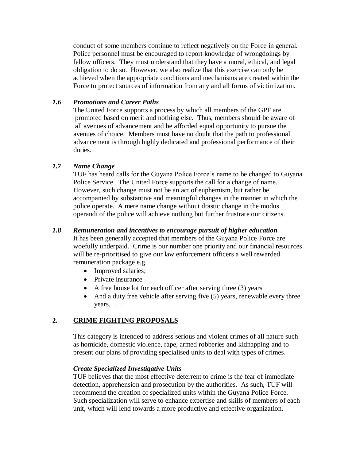conduct of some members continue to reflect negatively on the Force in general. Police personnel must be encouraged to report knowledge of wrongdoings by fellow officers. They must understand that they have a moral, ethical, and legal obligation to do so. However, we also realize that this exercise can only be achieved when the appropriate conditions and mechanisms are created within the Force to protect sources of information from any and all forms of victimization.

#### *1.6 Promotions and Career Paths*

The United Force supports a process by which all members of the GPF are promoted based on merit and nothing else. Thus, members should be aware of all avenues of advancement and be afforded equal opportunity to pursue the avenues of choice. Members must have no doubt that the path to professional advancement is through highly dedicated and professional performance of their duties.

#### *1.7 Name Change*

TUF has heard calls for the Guyana Police Force's name to be changed to Guyana Police Service. The United Force supports the call for a change of name. However, such change must not be an act of euphemism, but rather be accompanied by substantive and meaningful changes in the manner in which the police operate. A mere name change without drastic change in the modus operandi of the police will achieve nothing but further frustrate our citizens.

#### *1.8 Remuneration and incentives to encourage pursuit of higher education*

It has been generally accepted that members of the Guyana Police Force are woefully underpaid. Crime is our number one priority and our financial resources will be re-prioritised to give our law enforcement officers a well rewarded remuneration package e.g.

- Improved salaries;
- Private insurance
- $\bullet$  A free house lot for each officer after serving three (3) years
- And a duty free vehicle after serving five (5) years, renewable every three years. . .

#### **2. CRIME FIGHTING PROPOSALS**

This category is intended to address serious and violent crimes of all nature such as homicide, domestic violence, rape, armed robberies and kidnapping and to present our plans of providing specialised units to deal with types of crimes.

#### *Create Specialized Investigative Units*

TUF believes that the most effective deterrent to crime is the fear of immediate detection, apprehension and prosecution by the authorities. As such, TUF will recommend the creation of specialized units within the Guyana Police Force. Such specialization will serve to enhance expertise and skills of members of each unit, which will lend towards a more productive and effective organization.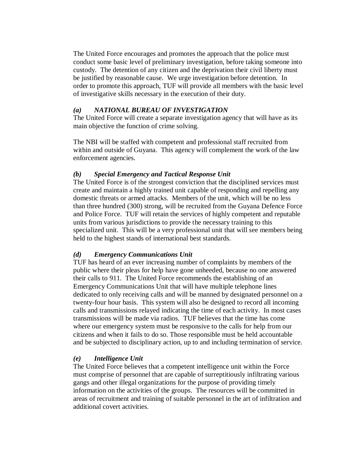The United Force encourages and promotes the approach that the police must conduct some basic level of preliminary investigation, before taking someone into custody. The detention of any citizen and the deprivation their civil liberty must be justified by reasonable cause. We urge investigation before detention. In order to promote this approach, TUF will provide all members with the basic level of investigative skills necessary in the execution of their duty.

#### *(a) NATIONAL BUREAU OF INVESTIGATION*

The United Force will create a separate investigation agency that will have as its main objective the function of crime solving.

The NBI will be staffed with competent and professional staff recruited from within and outside of Guyana. This agency will complement the work of the law enforcement agencies.

#### *(b) Special Emergency and Tactical Response Unit*

The United Force is of the strongest conviction that the disciplined services must create and maintain a highly trained unit capable of responding and repelling any domestic threats or armed attacks. Members of the unit, which will be no less than three hundred (300) strong, will be recruited from the Guyana Defence Force and Police Force. TUF will retain the services of highly competent and reputable units from various jurisdictions to provide the necessary training to this specialized unit. This will be a very professional unit that will see members being held to the highest stands of international best standards.

#### *(d) Emergency Communications Unit*

TUF has heard of an ever increasing number of complaints by members of the public where their pleas for help have gone unheeded, because no one answered their calls to 911. The United Force recommends the establishing of an Emergency Communications Unit that will have multiple telephone lines dedicated to only receiving calls and will be manned by designated personnel on a twenty-four hour basis. This system will also be designed to record all incoming calls and transmissions relayed indicating the time of each activity. In most cases transmissions will be made via radios. TUF believes that the time has come where our emergency system must be responsive to the calls for help from our citizens and when it fails to do so. Those responsible must be held accountable and be subjected to disciplinary action, up to and including termination of service.

#### *(e) Intelligence Unit*

The United Force believes that a competent intelligence unit within the Force must comprise of personnel that are capable of surreptitiously infiltrating various gangs and other illegal organizations for the purpose of providing timely information on the activities of the groups. The resources will be committed in areas of recruitment and training of suitable personnel in the art of infiltration and additional covert activities.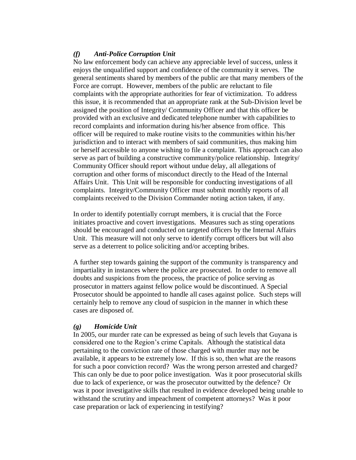#### *(f) Anti-Police Corruption Unit*

No law enforcement body can achieve any appreciable level of success, unless it enjoys the unqualified support and confidence of the community it serves. The general sentiments shared by members of the public are that many members of the Force are corrupt. However, members of the public are reluctant to file complaints with the appropriate authorities for fear of victimization. To address this issue, it is recommended that an appropriate rank at the Sub-Division level be assigned the position of Integrity/ Community Officer and that this officer be provided with an exclusive and dedicated telephone number with capabilities to record complaints and information during his/her absence from office. This officer will be required to make routine visits to the communities within his/her jurisdiction and to interact with members of said communities, thus making him or herself accessible to anyone wishing to file a complaint. This approach can also serve as part of building a constructive community/police relationship. Integrity/ Community Officer should report without undue delay, all allegations of corruption and other forms of misconduct directly to the Head of the Internal Affairs Unit. This Unit will be responsible for conducting investigations of all complaints. Integrity/Community Officer must submit monthly reports of all complaints received to the Division Commander noting action taken, if any.

In order to identify potentially corrupt members, it is crucial that the Force initiates proactive and covert investigations. Measures such as sting operations should be encouraged and conducted on targeted officers by the Internal Affairs Unit. This measure will not only serve to identify corrupt officers but will also serve as a deterrent to police soliciting and/or accepting bribes.

A further step towards gaining the support of the community is transparency and impartiality in instances where the police are prosecuted. In order to remove all doubts and suspicions from the process, the practice of police serving as prosecutor in matters against fellow police would be discontinued. A Special Prosecutor should be appointed to handle all cases against police. Such steps will certainly help to remove any cloud of suspicion in the manner in which these cases are disposed of.

#### *(g) Homicide Unit*

In 2005, our murder rate can be expressed as being of such levels that Guyana is considered one to the Region's crime Capitals. Although the statistical data pertaining to the conviction rate of those charged with murder may not be available, it appears to be extremely low. If this is so, then what are the reasons for such a poor conviction record? Was the wrong person arrested and charged? This can only be due to poor police investigation. Was it poor prosecutorial skills due to lack of experience, or was the prosecutor outwitted by the defence? Or was it poor investigative skills that resulted in evidence developed being unable to withstand the scrutiny and impeachment of competent attorneys? Was it poor case preparation or lack of experiencing in testifying?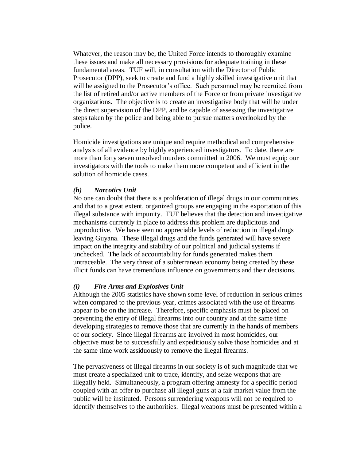Whatever, the reason may be, the United Force intends to thoroughly examine these issues and make all necessary provisions for adequate training in these fundamental areas. TUF will, in consultation with the Director of Public Prosecutor (DPP), seek to create and fund a highly skilled investigative unit that will be assigned to the Prosecutor's office. Such personnel may be recruited from the list of retired and/or active members of the Force or from private investigative organizations. The objective is to create an investigative body that will be under the direct supervision of the DPP, and be capable of assessing the investigative steps taken by the police and being able to pursue matters overlooked by the police.

Homicide investigations are unique and require methodical and comprehensive analysis of all evidence by highly experienced investigators. To date, there are more than forty seven unsolved murders committed in 2006. We must equip our investigators with the tools to make them more competent and efficient in the solution of homicide cases.

#### *(h) Narcotics Unit*

No one can doubt that there is a proliferation of illegal drugs in our communities and that to a great extent, organized groups are engaging in the exportation of this illegal substance with impunity. TUF believes that the detection and investigative mechanisms currently in place to address this problem are duplicitous and unproductive. We have seen no appreciable levels of reduction in illegal drugs leaving Guyana. These illegal drugs and the funds generated will have severe impact on the integrity and stability of our political and judicial systems if unchecked. The lack of accountability for funds generated makes them untraceable. The very threat of a subterranean economy being created by these illicit funds can have tremendous influence on governments and their decisions.

#### *(i) Fire Arms and Explosives Unit*

Although the 2005 statistics have shown some level of reduction in serious crimes when compared to the previous year, crimes associated with the use of firearms appear to be on the increase. Therefore, specific emphasis must be placed on preventing the entry of illegal firearms into our country and at the same time developing strategies to remove those that are currently in the hands of members of our society. Since illegal firearms are involved in most homicides, our objective must be to successfully and expeditiously solve those homicides and at the same time work assiduously to remove the illegal firearms.

The pervasiveness of illegal firearms in our society is of such magnitude that we must create a specialized unit to trace, identify, and seize weapons that are illegally held. Simultaneously, a program offering amnesty for a specific period coupled with an offer to purchase all illegal guns at a fair market value from the public will be instituted. Persons surrendering weapons will not be required to identify themselves to the authorities. Illegal weapons must be presented within a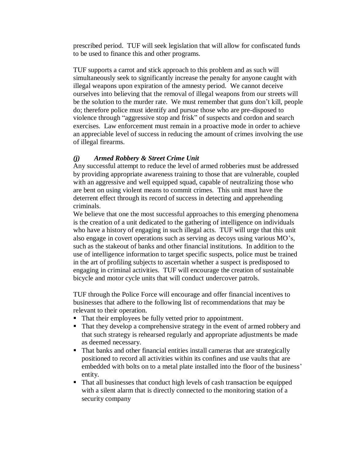prescribed period. TUF will seek legislation that will allow for confiscated funds to be used to finance this and other programs.

TUF supports a carrot and stick approach to this problem and as such will simultaneously seek to significantly increase the penalty for anyone caught with illegal weapons upon expiration of the amnesty period. We cannot deceive ourselves into believing that the removal of illegal weapons from our streets will be the solution to the murder rate. We must remember that guns don't kill, people do; therefore police must identify and pursue those who are pre-disposed to violence through "aggressive stop and frisk" of suspects and cordon and search exercises. Law enforcement must remain in a proactive mode in order to achieve an appreciable level of success in reducing the amount of crimes involving the use of illegal firearms.

#### *(j) Armed Robbery & Street Crime Unit*

Any successful attempt to reduce the level of armed robberies must be addressed by providing appropriate awareness training to those that are vulnerable, coupled with an aggressive and well equipped squad, capable of neutralizing those who are bent on using violent means to commit crimes. This unit must have the deterrent effect through its record of success in detecting and apprehending criminals.

We believe that one the most successful approaches to this emerging phenomena is the creation of a unit dedicated to the gathering of intelligence on individuals who have a history of engaging in such illegal acts. TUF will urge that this unit also engage in covert operations such as serving as decoys using various MO's, such as the stakeout of banks and other financial institutions. In addition to the use of intelligence information to target specific suspects, police must be trained in the art of profiling subjects to ascertain whether a suspect is predisposed to engaging in criminal activities. TUF will encourage the creation of sustainable bicycle and motor cycle units that will conduct undercover patrols.

TUF through the Police Force will encourage and offer financial incentives to businesses that adhere to the following list of recommendations that may be relevant to their operation.

- That their employees be fully vetted prior to appointment.
- That they develop a comprehensive strategy in the event of armed robbery and that such strategy is rehearsed regularly and appropriate adjustments be made as deemed necessary.
- That banks and other financial entities install cameras that are strategically positioned to record all activities within its confines and use vaults that are embedded with bolts on to a metal plate installed into the floor of the business' entity.
- That all businesses that conduct high levels of cash transaction be equipped with a silent alarm that is directly connected to the monitoring station of a security company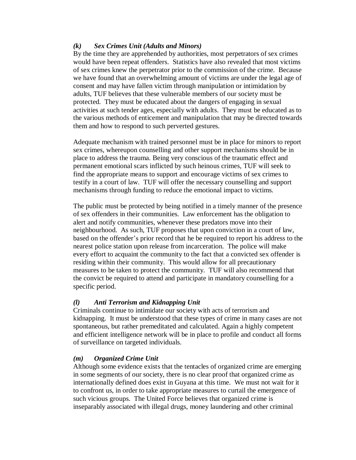#### *(k) Sex Crimes Unit (Adults and Minors)*

By the time they are apprehended by authorities, most perpetrators of sex crimes would have been repeat offenders. Statistics have also revealed that most victims of sex crimes knew the perpetrator prior to the commission of the crime. Because we have found that an overwhelming amount of victims are under the legal age of consent and may have fallen victim through manipulation or intimidation by adults, TUF believes that these vulnerable members of our society must be protected. They must be educated about the dangers of engaging in sexual activities at such tender ages, especially with adults. They must be educated as to the various methods of enticement and manipulation that may be directed towards them and how to respond to such perverted gestures.

Adequate mechanism with trained personnel must be in place for minors to report sex crimes, whereupon counselling and other support mechanisms should be in place to address the trauma. Being very conscious of the traumatic effect and permanent emotional scars inflicted by such heinous crimes, TUF will seek to find the appropriate means to support and encourage victims of sex crimes to testify in a court of law. TUF will offer the necessary counselling and support mechanisms through funding to reduce the emotional impact to victims.

The public must be protected by being notified in a timely manner of the presence of sex offenders in their communities. Law enforcement has the obligation to alert and notify communities, whenever these predators move into their neighbourhood. As such, TUF proposes that upon conviction in a court of law, based on the offender's prior record that he be required to report his address to the nearest police station upon release from incarceration. The police will make every effort to acquaint the community to the fact that a convicted sex offender is residing within their community. This would allow for all precautionary measures to be taken to protect the community. TUF will also recommend that the convict be required to attend and participate in mandatory counselling for a specific period.

#### *(l) Anti Terrorism and Kidnapping Unit*

Criminals continue to intimidate our society with acts of terrorism and kidnapping. It must be understood that these types of crime in many cases are not spontaneous, but rather premeditated and calculated. Again a highly competent and efficient intelligence network will be in place to profile and conduct all forms of surveillance on targeted individuals.

#### *(m) Organized Crime Unit*

Although some evidence exists that the tentacles of organized crime are emerging in some segments of our society, there is no clear proof that organized crime as internationally defined does exist in Guyana at this time. We must not wait for it to confront us, in order to take appropriate measures to curtail the emergence of such vicious groups. The United Force believes that organized crime is inseparably associated with illegal drugs, money laundering and other criminal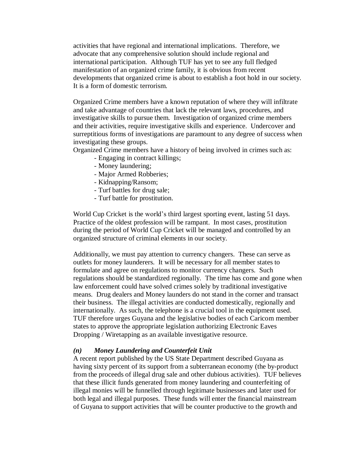activities that have regional and international implications. Therefore, we advocate that any comprehensive solution should include regional and international participation. Although TUF has yet to see any full fledged manifestation of an organized crime family, it is obvious from recent developments that organized crime is about to establish a foot hold in our society. It is a form of domestic terrorism.

Organized Crime members have a known reputation of where they will infiltrate and take advantage of countries that lack the relevant laws, procedures, and investigative skills to pursue them. Investigation of organized crime members and their activities, require investigative skills and experience. Undercover and surreptitious forms of investigations are paramount to any degree of success when investigating these groups.

Organized Crime members have a history of being involved in crimes such as:

- Engaging in contract killings;
- Money laundering;
- Major Armed Robberies;
- Kidnapping/Ransom;
- Turf battles for drug sale;
- Turf battle for prostitution.

World Cup Cricket is the world's third largest sporting event, lasting 51 days. Practice of the oldest profession will be rampant. In most cases, prostitution during the period of World Cup Cricket will be managed and controlled by an organized structure of criminal elements in our society.

Additionally, we must pay attention to currency changers. These can serve as outlets for money launderers. It will be necessary for all member states to formulate and agree on regulations to monitor currency changers. Such regulations should be standardized regionally. The time has come and gone when law enforcement could have solved crimes solely by traditional investigative means. Drug dealers and Money launders do not stand in the corner and transact their business. The illegal activities are conducted domestically, regionally and internationally. As such, the telephone is a crucial tool in the equipment used. TUF therefore urges Guyana and the legislative bodies of each Caricom member states to approve the appropriate legislation authorizing Electronic Eaves Dropping / Wiretapping as an available investigative resource.

#### *(n) Money Laundering and Counterfeit Unit*

A recent report published by the US State Department described Guyana as having sixty percent of its support from a subterranean economy (the by-product from the proceeds of illegal drug sale and other dubious activities). TUF believes that these illicit funds generated from money laundering and counterfeiting of illegal monies will be funnelled through legitimate businesses and later used for both legal and illegal purposes. These funds will enter the financial mainstream of Guyana to support activities that will be counter productive to the growth and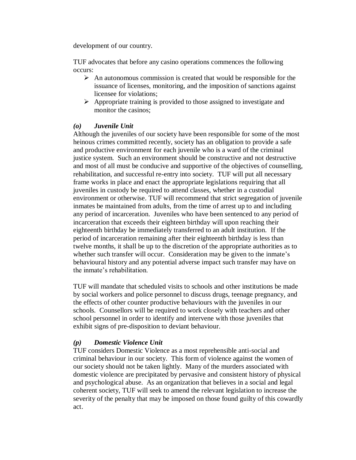development of our country.

TUF advocates that before any casino operations commences the following occurs:

- $\triangleright$  An autonomous commission is created that would be responsible for the issuance of licenses, monitoring, and the imposition of sanctions against licensee for violations;
- $\triangleright$  Appropriate training is provided to those assigned to investigate and monitor the casinos;

#### *(o) Juvenile Unit*

Although the juveniles of our society have been responsible for some of the most heinous crimes committed recently, society has an obligation to provide a safe and productive environment for each juvenile who is a ward of the criminal justice system. Such an environment should be constructive and not destructive and most of all must be conducive and supportive of the objectives of counselling, rehabilitation, and successful re-entry into society. TUF will put all necessary frame works in place and enact the appropriate legislations requiring that all juveniles in custody be required to attend classes, whether in a custodial environment or otherwise. TUF will recommend that strict segregation of juvenile inmates be maintained from adults, from the time of arrest up to and including any period of incarceration. Juveniles who have been sentenced to any period of incarceration that exceeds their eighteen birthday will upon reaching their eighteenth birthday be immediately transferred to an adult institution. If the period of incarceration remaining after their eighteenth birthday is less than twelve months, it shall be up to the discretion of the appropriate authorities as to whether such transfer will occur. Consideration may be given to the inmate's behavioural history and any potential adverse impact such transfer may have on the inmate's rehabilitation.

TUF will mandate that scheduled visits to schools and other institutions be made by social workers and police personnel to discuss drugs, teenage pregnancy, and the effects of other counter productive behaviours with the juveniles in our schools. Counsellors will be required to work closely with teachers and other school personnel in order to identify and intervene with those juveniles that exhibit signs of pre-disposition to deviant behaviour.

#### *(p) Domestic Violence Unit*

TUF considers Domestic Violence as a most reprehensible anti-social and criminal behaviour in our society. This form of violence against the women of our society should not be taken lightly. Many of the murders associated with domestic violence are precipitated by pervasive and consistent history of physical and psychological abuse. As an organization that believes in a social and legal coherent society, TUF will seek to amend the relevant legislation to increase the severity of the penalty that may be imposed on those found guilty of this cowardly act.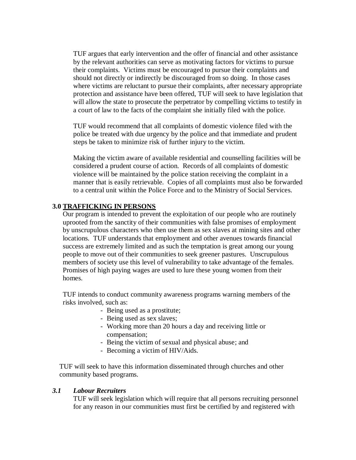TUF argues that early intervention and the offer of financial and other assistance by the relevant authorities can serve as motivating factors for victims to pursue their complaints. Victims must be encouraged to pursue their complaints and should not directly or indirectly be discouraged from so doing. In those cases where victims are reluctant to pursue their complaints, after necessary appropriate protection and assistance have been offered, TUF will seek to have legislation that will allow the state to prosecute the perpetrator by compelling victims to testify in a court of law to the facts of the complaint she initially filed with the police.

TUF would recommend that all complaints of domestic violence filed with the police be treated with due urgency by the police and that immediate and prudent steps be taken to minimize risk of further injury to the victim.

Making the victim aware of available residential and counselling facilities will be considered a prudent course of action. Records of all complaints of domestic violence will be maintained by the police station receiving the complaint in a manner that is easily retrievable. Copies of all complaints must also be forwarded to a central unit within the Police Force and to the Ministry of Social Services.

#### **3.0 TRAFFICKING IN PERSONS**

Our program is intended to prevent the exploitation of our people who are routinely uprooted from the sanctity of their communities with false promises of employment by unscrupulous characters who then use them as sex slaves at mining sites and other locations. TUF understands that employment and other avenues towards financial success are extremely limited and as such the temptation is great among our young people to move out of their communities to seek greener pastures. Unscrupulous members of society use this level of vulnerability to take advantage of the females. Promises of high paying wages are used to lure these young women from their homes.

TUF intends to conduct community awareness programs warning members of the risks involved, such as:

- Being used as a prostitute;
- Being used as sex slaves;
- Working more than 20 hours a day and receiving little or compensation;
- Being the victim of sexual and physical abuse; and
- Becoming a victim of HIV/Aids.

 TUF will seek to have this information disseminated through churches and other community based programs.

#### *3.1 Labour Recruiters*

TUF will seek legislation which will require that all persons recruiting personnel for any reason in our communities must first be certified by and registered with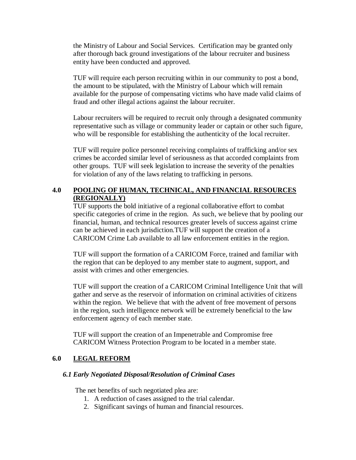the Ministry of Labour and Social Services. Certification may be granted only after thorough back ground investigations of the labour recruiter and business entity have been conducted and approved.

TUF will require each person recruiting within in our community to post a bond, the amount to be stipulated, with the Ministry of Labour which will remain available for the purpose of compensating victims who have made valid claims of fraud and other illegal actions against the labour recruiter.

Labour recruiters will be required to recruit only through a designated community representative such as village or community leader or captain or other such figure, who will be responsible for establishing the authenticity of the local recruiter.

TUF will require police personnel receiving complaints of trafficking and/or sex crimes be accorded similar level of seriousness as that accorded complaints from other groups. TUF will seek legislation to increase the severity of the penalties for violation of any of the laws relating to trafficking in persons.

#### **4.0 POOLING OF HUMAN, TECHNICAL, AND FINANCIAL RESOURCES (REGIONALLY)**

TUF supports the bold initiative of a regional collaborative effort to combat specific categories of crime in the region. As such, we believe that by pooling our financial, human, and technical resources greater levels of success against crime can be achieved in each jurisdiction.TUF will support the creation of a CARICOM Crime Lab available to all law enforcement entities in the region.

TUF will support the formation of a CARICOM Force, trained and familiar with the region that can be deployed to any member state to augment, support, and assist with crimes and other emergencies.

TUF will support the creation of a CARICOM Criminal Intelligence Unit that will gather and serve as the reservoir of information on criminal activities of citizens within the region. We believe that with the advent of free movement of persons in the region, such intelligence network will be extremely beneficial to the law enforcement agency of each member state.

TUF will support the creation of an Impenetrable and Compromise free CARICOM Witness Protection Program to be located in a member state.

#### **6.0 LEGAL REFORM**

#### *6.1 Early Negotiated Disposal/Resolution of Criminal Cases*

The net benefits of such negotiated plea are:

- 1. A reduction of cases assigned to the trial calendar.
- 2. Significant savings of human and financial resources.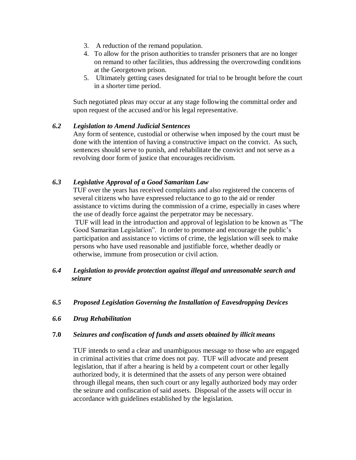- 3. A reduction of the remand population.
- 4. To allow for the prison authorities to transfer prisoners that are no longer on remand to other facilities, thus addressing the overcrowding conditions at the Georgetown prison.
- 5. Ultimately getting cases designated for trial to be brought before the court in a shorter time period.

Such negotiated pleas may occur at any stage following the committal order and upon request of the accused and/or his legal representative.

#### *6.2 Legislation to Amend Judicial Sentences*

Any form of sentence, custodial or otherwise when imposed by the court must be done with the intention of having a constructive impact on the convict. As such, sentences should serve to punish, and rehabilitate the convict and not serve as a revolving door form of justice that encourages recidivism.

#### *6.3 Legislative Approval of a Good Samaritan Law*

TUF over the years has received complaints and also registered the concerns of several citizens who have expressed reluctance to go to the aid or render assistance to victims during the commission of a crime, especially in cases where the use of deadly force against the perpetrator may be necessary. TUF will lead in the introduction and approval of legislation to be known as "The Good Samaritan Legislation". In order to promote and encourage the public's participation and assistance to victims of crime, the legislation will seek to make persons who have used reasonable and justifiable force, whether deadly or otherwise, immune from prosecution or civil action.

#### *6.4 Legislation to provide protection against illegal and unreasonable search and seizure*

#### *6.5 Proposed Legislation Governing the Installation of Eavesdropping Devices*

#### *6.6 Drug Rehabilitation*

#### **7.0** *Seizures and confiscation of funds and assets obtained by illicit means*

TUF intends to send a clear and unambiguous message to those who are engaged in criminal activities that crime does not pay. TUF will advocate and present legislation, that if after a hearing is held by a competent court or other legally authorized body, it is determined that the assets of any person were obtained through illegal means, then such court or any legally authorized body may order the seizure and confiscation of said assets. Disposal of the assets will occur in accordance with guidelines established by the legislation.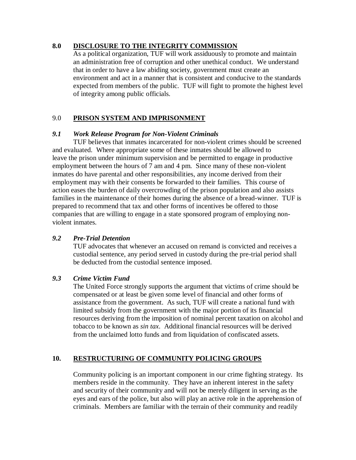#### **8.0 DISCLOSURE TO THE INTEGRITY COMMISSION**

As a political organization, TUF will work assiduously to promote and maintain an administration free of corruption and other unethical conduct. We understand that in order to have a law abiding society, government must create an environment and act in a manner that is consistent and conducive to the standards expected from members of the public. TUF will fight to promote the highest level of integrity among public officials.

#### 9.0 **PRISON SYSTEM AND IMPRISONMENT**

#### *9.1 Work Release Program for Non-Violent Criminals*

TUF believes that inmates incarcerated for non-violent crimes should be screened and evaluated. Where appropriate some of these inmates should be allowed to leave the prison under minimum supervision and be permitted to engage in productive employment between the hours of 7 am and 4 pm. Since many of these non-violent inmates do have parental and other responsibilities, any income derived from their employment may with their consents be forwarded to their families. This course of action eases the burden of daily overcrowding of the prison population and also assists families in the maintenance of their homes during the absence of a bread-winner. TUF is prepared to recommend that tax and other forms of incentives be offered to those companies that are willing to engage in a state sponsored program of employing nonviolent inmates.

#### *9.2 Pre-Trial Detention*

TUF advocates that whenever an accused on remand is convicted and receives a custodial sentence, any period served in custody during the pre-trial period shall be deducted from the custodial sentence imposed.

#### *9.3 Crime Victim Fund*

The United Force strongly supports the argument that victims of crime should be compensated or at least be given some level of financial and other forms of assistance from the government. As such, TUF will create a national fund with limited subsidy from the government with the major portion of its financial resources deriving from the imposition of nominal percent taxation on alcohol and tobacco to be known as *sin tax*. Additional financial resources will be derived from the unclaimed lotto funds and from liquidation of confiscated assets.

#### **10. RESTRUCTURING OF COMMUNITY POLICING GROUPS**

Community policing is an important component in our crime fighting strategy. Its members reside in the community. They have an inherent interest in the safety and security of their community and will not be merely diligent in serving as the eyes and ears of the police, but also will play an active role in the apprehension of criminals. Members are familiar with the terrain of their community and readily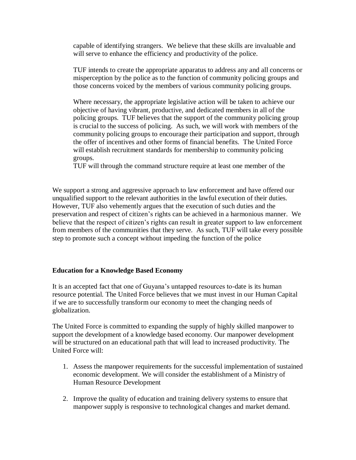capable of identifying strangers. We believe that these skills are invaluable and will serve to enhance the efficiency and productivity of the police.

TUF intends to create the appropriate apparatus to address any and all concerns or misperception by the police as to the function of community policing groups and those concerns voiced by the members of various community policing groups.

Where necessary, the appropriate legislative action will be taken to achieve our objective of having vibrant, productive, and dedicated members in all of the policing groups. TUF believes that the support of the community policing group is crucial to the success of policing. As such, we will work with members of the community policing groups to encourage their participation and support, through the offer of incentives and other forms of financial benefits. The United Force will establish recruitment standards for membership to community policing groups.

TUF will through the command structure require at least one member of the

We support a strong and aggressive approach to law enforcement and have offered our unqualified support to the relevant authorities in the lawful execution of their duties. However, TUF also vehemently argues that the execution of such duties and the preservation and respect of citizen's rights can be achieved in a harmonious manner. We believe that the respect of citizen's rights can result in greater support to law enforcement from members of the communities that they serve. As such, TUF will take every possible step to promote such a concept without impeding the function of the police

#### **Education for a Knowledge Based Economy**

It is an accepted fact that one of Guyana's untapped resources to-date is its human resource potential. The United Force believes that we must invest in our Human Capital if we are to successfully transform our economy to meet the changing needs of globalization.

The United Force is committed to expanding the supply of highly skilled manpower to support the development of a knowledge based economy. Our manpower development will be structured on an educational path that will lead to increased productivity. The United Force will:

- 1. Assess the manpower requirements for the successful implementation of sustained economic development. We will consider the establishment of a Ministry of Human Resource Development
- 2. Improve the quality of education and training delivery systems to ensure that manpower supply is responsive to technological changes and market demand.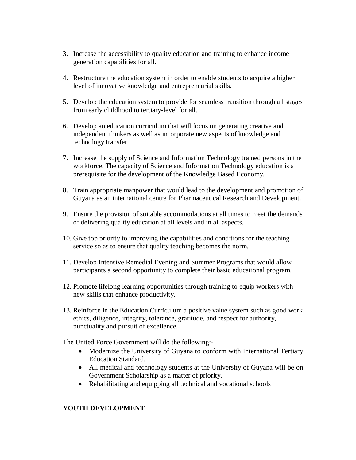- 3. Increase the accessibility to quality education and training to enhance income generation capabilities for all.
- 4. Restructure the education system in order to enable students to acquire a higher level of innovative knowledge and entrepreneurial skills.
- 5. Develop the education system to provide for seamless transition through all stages from early childhood to tertiary-level for all.
- 6. Develop an education curriculum that will focus on generating creative and independent thinkers as well as incorporate new aspects of knowledge and technology transfer.
- 7. Increase the supply of Science and Information Technology trained persons in the workforce. The capacity of Science and Information Technology education is a prerequisite for the development of the Knowledge Based Economy.
- 8. Train appropriate manpower that would lead to the development and promotion of Guyana as an international centre for Pharmaceutical Research and Development.
- 9. Ensure the provision of suitable accommodations at all times to meet the demands of delivering quality education at all levels and in all aspects.
- 10. Give top priority to improving the capabilities and conditions for the teaching service so as to ensure that quality teaching becomes the norm.
- 11. Develop Intensive Remedial Evening and Summer Programs that would allow participants a second opportunity to complete their basic educational program.
- 12. Promote lifelong learning opportunities through training to equip workers with new skills that enhance productivity.
- 13. Reinforce in the Education Curriculum a positive value system such as good work ethics, diligence, integrity, tolerance, gratitude, and respect for authority, punctuality and pursuit of excellence.

The United Force Government will do the following:-

- Modernize the University of Guyana to conform with International Tertiary Education Standard.
- All medical and technology students at the University of Guyana will be on Government Scholarship as a matter of priority.
- Rehabilitating and equipping all technical and vocational schools

#### **YOUTH DEVELOPMENT**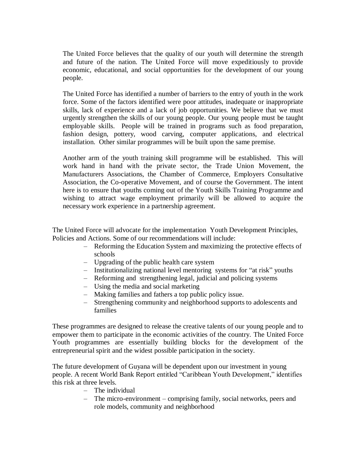The United Force believes that the quality of our youth will determine the strength and future of the nation. The United Force will move expeditiously to provide economic, educational, and social opportunities for the development of our young people.

The United Force has identified a number of barriers to the entry of youth in the work force. Some of the factors identified were poor attitudes, inadequate or inappropriate skills, lack of experience and a lack of job opportunities. We believe that we must urgently strengthen the skills of our young people. Our young people must be taught employable skills. People will be trained in programs such as food preparation, fashion design, pottery, wood carving, computer applications, and electrical installation. Other similar programmes will be built upon the same premise.

Another arm of the youth training skill programme will be established. This will work hand in hand with the private sector, the Trade Union Movement, the Manufacturers Associations, the Chamber of Commerce, Employers Consultative Association, the Co-operative Movement, and of course the Government. The intent here is to ensure that youths coming out of the Youth Skills Training Programme and wishing to attract wage employment primarily will be allowed to acquire the necessary work experience in a partnership agreement.

The United Force will advocate for the implementation Youth Development Principles, Policies and Actions. Some of our recommendations will include:

- Reforming the Education System and maximizing the protective effects of schools
- Upgrading of the public health care system
- Institutionalizing national level mentoring systems for "at risk" youths
- Reforming and strengthening legal, judicial and policing systems
- Using the media and social marketing
- Making families and fathers a top public policy issue.
- Strengthening community and neighborhood supports to adolescents and families

These programmes are designed to release the creative talents of our young people and to empower them to participate in the economic activities of the country. The United Force Youth programmes are essentially building blocks for the development of the entrepreneurial spirit and the widest possible participation in the society.

The future development of Guyana will be dependent upon our investment in young people. A recent World Bank Report entitled "Caribbean Youth Development," identifies this risk at three levels.

- The individual
- The micro-environment comprising family, social networks, peers and role models, community and neighborhood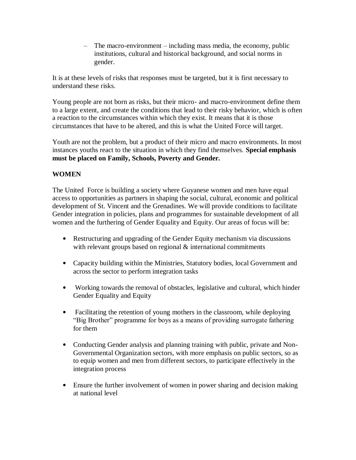– The macro-environment – including mass media, the economy, public institutions, cultural and historical background, and social norms in gender.

It is at these levels of risks that responses must be targeted, but it is first necessary to understand these risks.

Young people are not born as risks, but their micro- and macro-environment define them to a large extent, and create the conditions that lead to their risky behavior, which is often a reaction to the circumstances within which they exist. It means that it is those circumstances that have to be altered, and this is what the United Force will target.

Youth are not the problem, but a product of their micro and macro environments. In most instances youths react to the situation in which they find themselves. **Special emphasis must be placed on Family, Schools, Poverty and Gender.**

#### **WOMEN**

The United Force is building a society where Guyanese women and men have equal access to opportunities as partners in shaping the social, cultural, economic and political development of St. Vincent and the Grenadines. We will provide conditions to facilitate Gender integration in policies, plans and programmes for sustainable development of all women and the furthering of Gender Equality and Equity. Our areas of focus will be:

- Restructuring and upgrading of the Gender Equity mechanism via discussions with relevant groups based on regional & international commitments
- Capacity building within the Ministries, Statutory bodies, local Government and across the sector to perform integration tasks
- Working towards the removal of obstacles, legislative and cultural, which hinder Gender Equality and Equity
- Facilitating the retention of young mothers in the classroom, while deploying "Big Brother" programme for boys as a means of providing surrogate fathering for them
- Conducting Gender analysis and planning training with public, private and Non-Governmental Organization sectors, with more emphasis on public sectors, so as to equip women and men from different sectors, to participate effectively in the integration process
- Ensure the further involvement of women in power sharing and decision making at national level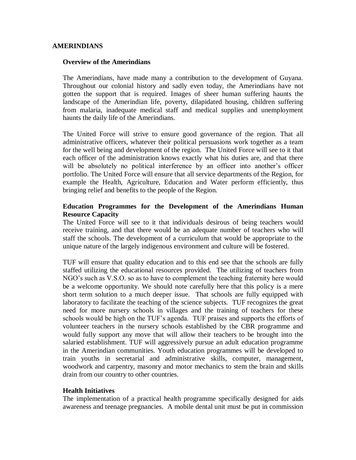#### **AMERINDIANS**

#### **Overview of the Amerindians**

The Amerindians, have made many a contribution to the development of Guyana. Throughout our colonial history and sadly even today, the Amerindians have not gotten the support that is required. Images of sheer human suffering haunts the landscape of the Amerindian life, poverty, dilapidated housing, children suffering from malaria, inadequate medical staff and medical supplies and unemployment haunts the daily life of the Amerindians.

The United Force will strive to ensure good governance of the region. That all administrative officers, whatever their political persuasions work together as a team for the well being and development of the region. The United Force will see to it that each officer of the administration knows exactly what his duties are, and that there will be absolutely no political interference by an officer into another's officer portfolio. The United Force will ensure that all service departments of the Region, for example the Health, Agriculture, Education and Water perform efficiently, thus bringing relief and benefits to the people of the Region.

#### **Education Programmes for the Development of the Amerindians Human Resource Capacity**

The United Force will see to it that individuals desirous of being teachers would receive training, and that there would be an adequate number of teachers who will staff the schools. The development of a curriculum that would be appropriate to the unique nature of the largely indigenous environment and culture will be fostered.

TUF will ensure that quality education and to this end see that the schools are fully staffed utilizing the educational resources provided. The utilizing of teachers from NGO's such as V.S.O. so as to have to complement the teaching fraternity here would be a welcome opportunity. We should note carefully here that this policy is a mere short term solution to a much deeper issue. That schools are fully equipped with laboratory to facilitate the teaching of the science subjects. TUF recognizes the great need for more nursery schools in villages and the training of teachers for these schools would be high on the TUF's agenda. TUF praises and supports the efforts of volunteer teachers in the nursery schools established by the CBR programme and would fully support any move that will allow their teachers to be brought into the salaried establishment. TUF will aggressively pursue an adult education programme in the Amerindian communities. Youth education programmes will be developed to train youths in secretarial and administrative skills, computer, management, woodwork and carpentry, masonry and motor mechanics to stem the brain and skills drain from our country to other countries.

#### **Health Initiatives**

The implementation of a practical health programme specifically designed for aids awareness and teenage pregnancies. A mobile dental unit must be put in commission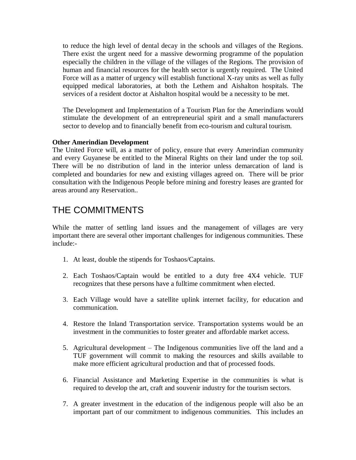to reduce the high level of dental decay in the schools and villages of the Regions. There exist the urgent need for a massive deworming programme of the population especially the children in the village of the villages of the Regions. The provision of human and financial resources for the health sector is urgently required. The United Force will as a matter of urgency will establish functional X-ray units as well as fully equipped medical laboratories, at both the Lethem and Aishalton hospitals. The services of a resident doctor at Aishalton hospital would be a necessity to be met.

The Development and Implementation of a Tourism Plan for the Amerindians would stimulate the development of an entrepreneurial spirit and a small manufacturers sector to develop and to financially benefit from eco-tourism and cultural tourism.

#### **Other Amerindian Development**

The United Force will, as a matter of policy, ensure that every Amerindian community and every Guyanese be entitled to the Mineral Rights on their land under the top soil. There will be no distribution of land in the interior unless demarcation of land is completed and boundaries for new and existing villages agreed on. There will be prior consultation with the Indigenous People before mining and forestry leases are granted for areas around any Reservation..

### THE COMMITMENTS

While the matter of settling land issues and the management of villages are very important there are several other important challenges for indigenous communities. These include:-

- 1. At least, double the stipends for Toshaos/Captains.
- 2. Each Toshaos/Captain would be entitled to a duty free 4X4 vehicle. TUF recognizes that these persons have a fulltime commitment when elected.
- 3. Each Village would have a satellite uplink internet facility, for education and communication.
- 4. Restore the Inland Transportation service. Transportation systems would be an investment in the communities to foster greater and affordable market access.
- 5. Agricultural development The Indigenous communities live off the land and a TUF government will commit to making the resources and skills available to make more efficient agricultural production and that of processed foods.
- 6. Financial Assistance and Marketing Expertise in the communities is what is required to develop the art, craft and souvenir industry for the tourism sectors.
- 7. A greater investment in the education of the indigenous people will also be an important part of our commitment to indigenous communities. This includes an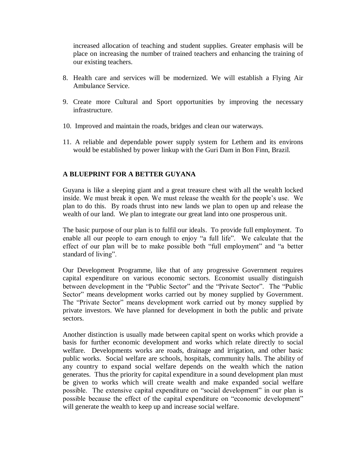increased allocation of teaching and student supplies. Greater emphasis will be place on increasing the number of trained teachers and enhancing the training of our existing teachers.

- 8. Health care and services will be modernized. We will establish a Flying Air Ambulance Service.
- 9. Create more Cultural and Sport opportunities by improving the necessary infrastructure.
- 10. Improved and maintain the roads, bridges and clean our waterways.
- 11. A reliable and dependable power supply system for Lethem and its environs would be established by power linkup with the Guri Dam in Bon Finn, Brazil.

#### **A BLUEPRINT FOR A BETTER GUYANA**

Guyana is like a sleeping giant and a great treasure chest with all the wealth locked inside. We must break it open. We must release the wealth for the people's use. We plan to do this. By roads thrust into new lands we plan to open up and release the wealth of our land. We plan to integrate our great land into one prosperous unit.

The basic purpose of our plan is to fulfil our ideals. To provide full employment. To enable all our people to earn enough to enjoy "a full life". We calculate that the effect of our plan will be to make possible both "full employment" and "a better standard of living".

Our Development Programme, like that of any progressive Government requires capital expenditure on various economic sectors. Economist usually distinguish between development in the "Public Sector" and the "Private Sector". The "Public Sector" means development works carried out by money supplied by Government. The "Private Sector" means development work carried out by money supplied by private investors. We have planned for development in both the public and private sectors.

Another distinction is usually made between capital spent on works which provide a basis for further economic development and works which relate directly to social welfare. Developments works are roads, drainage and irrigation, and other basic public works. Social welfare are schools, hospitals, community halls. The ability of any country to expand social welfare depends on the wealth which the nation generates. Thus the priority for capital expenditure in a sound development plan must be given to works which will create wealth and make expanded social welfare possible. The extensive capital expenditure on "social development" in our plan is possible because the effect of the capital expenditure on "economic development" will generate the wealth to keep up and increase social welfare.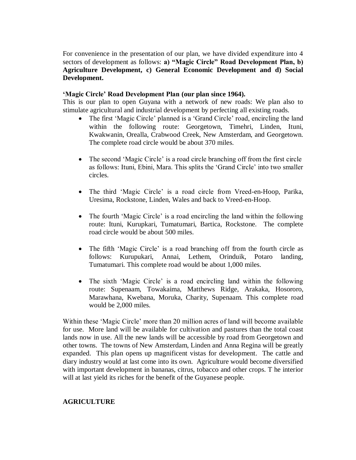For convenience in the presentation of our plan, we have divided expenditure into 4 sectors of development as follows: **a) "Magic Circle" Road Development Plan, b) Agriculture Development, c) General Economic Development and d) Social Development.**

#### **"Magic Circle" Road Development Plan (our plan since 1964).**

This is our plan to open Guyana with a network of new roads: We plan also to stimulate agricultural and industrial development by perfecting all existing roads.

- The first 'Magic Circle' planned is a 'Grand Circle' road, encircling the land within the following route: Georgetown, Timehri, Linden, Ituni, Kwakwanin, Orealla, Crabwood Creek, New Amsterdam, and Georgetown. The complete road circle would be about 370 miles.
- The second 'Magic Circle' is a road circle branching off from the first circle as follows: Ituni, Ebini, Mara. This splits the 'Grand Circle' into two smaller circles.
- The third 'Magic Circle' is a road circle from Vreed-en-Hoop, Parika, Uresima, Rockstone, Linden, Wales and back to Vreed-en-Hoop.
- The fourth 'Magic Circle' is a road encircling the land within the following route: Ituni, Kurupkari, Tumatumari, Bartica, Rockstone. The complete road circle would be about 500 miles.
- The fifth 'Magic Circle' is a road branching off from the fourth circle as follows: Kurupukari, Annai, Lethem, Orinduik, Potaro landing, Tumatumari. This complete road would be about 1,000 miles.
- The sixth 'Magic Circle' is a road encircling land within the following route: Supenaam, Towakaima, Matthews Ridge, Arakaka, Hosororo, Marawhana, Kwebana, Moruka, Charity, Supenaam. This complete road would be 2,000 miles.

Within these 'Magic Circle' more than 20 million acres of land will become available for use. More land will be available for cultivation and pastures than the total coast lands now in use. All the new lands will be accessible by road from Georgetown and other towns. The towns of New Amsterdam, Linden and Anna Regina will be greatly expanded. This plan opens up magnificent vistas for development. The cattle and diary industry would at last come into its own. Agriculture would become diversified with important development in bananas, citrus, tobacco and other crops. T he interior will at last yield its riches for the benefit of the Guyanese people.

#### **AGRICULTURE**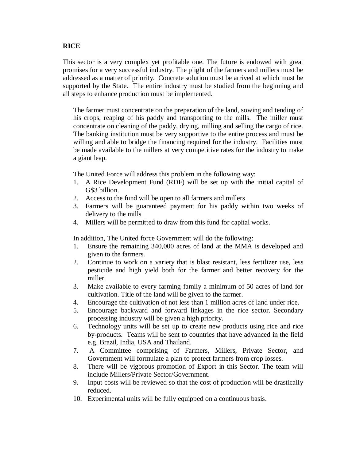#### **RICE**

This sector is a very complex yet profitable one. The future is endowed with great promises for a very successful industry. The plight of the farmers and millers must be addressed as a matter of priority. Concrete solution must be arrived at which must be supported by the State. The entire industry must be studied from the beginning and all steps to enhance production must be implemented.

The farmer must concentrate on the preparation of the land, sowing and tending of his crops, reaping of his paddy and transporting to the mills. The miller must concentrate on cleaning of the paddy, drying, milling and selling the cargo of rice. The banking institution must be very supportive to the entire process and must be willing and able to bridge the financing required for the industry. Facilities must be made available to the millers at very competitive rates for the industry to make a giant leap.

The United Force will address this problem in the following way:

- 1. A Rice Development Fund (RDF) will be set up with the initial capital of G\$3 billion.
- 2. Access to the fund will be open to all farmers and millers
- 3. Farmers will be guaranteed payment for his paddy within two weeks of delivery to the mills
- 4. Millers will be permitted to draw from this fund for capital works.

In addition, The United force Government will do the following:

- 1. Ensure the remaining 340,000 acres of land at the MMA is developed and given to the farmers.
- 2. Continue to work on a variety that is blast resistant, less fertilizer use, less pesticide and high yield both for the farmer and better recovery for the miller.
- 3. Make available to every farming family a minimum of 50 acres of land for cultivation. Title of the land will be given to the farmer.
- 4. Encourage the cultivation of not less than 1 million acres of land under rice.
- 5. Encourage backward and forward linkages in the rice sector. Secondary processing industry will be given a high priority.
- 6. Technology units will be set up to create new products using rice and rice by-products. Teams will be sent to countries that have advanced in the field e.g. Brazil, India, USA and Thailand.
- 7. A Committee comprising of Farmers, Millers, Private Sector, and Government will formulate a plan to protect farmers from crop losses.
- 8. There will be vigorous promotion of Export in this Sector. The team will include Millers/Private Sector/Government.
- 9. Input costs will be reviewed so that the cost of production will be drastically reduced.
- 10. Experimental units will be fully equipped on a continuous basis.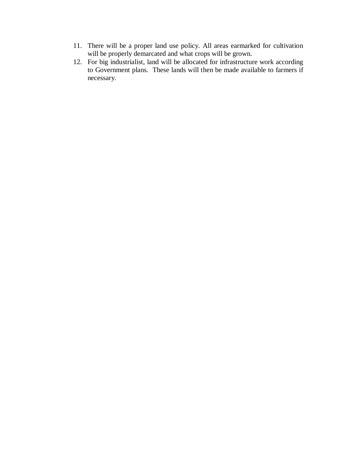- 11. There will be a proper land use policy. All areas earmarked for cultivation will be properly demarcated and what crops will be grown.
- 12. For big industrialist, land will be allocated for infrastructure work according to Government plans. These lands will then be made available to farmers if necessary.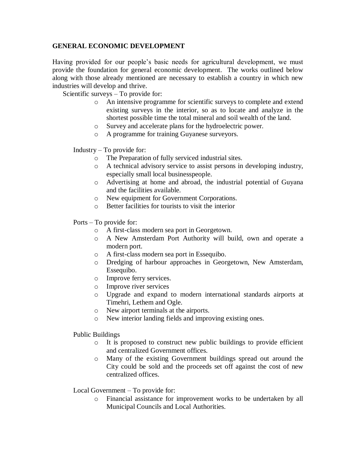#### **GENERAL ECONOMIC DEVELOPMENT**

Having provided for our people's basic needs for agricultural development, we must provide the foundation for general economic development. The works outlined below along with those already mentioned are necessary to establish a country in which new industries will develop and thrive.

Scientific surveys – To provide for:

- o An intensive programme for scientific surveys to complete and extend existing surveys in the interior, so as to locate and analyze in the shortest possible time the total mineral and soil wealth of the land.
- o Survey and accelerate plans for the hydroelectric power.
- o A programme for training Guyanese surveyors.

Industry – To provide for:

- o The Preparation of fully serviced industrial sites.
- o A technical advisory service to assist persons in developing industry, especially small local businesspeople.
- o Advertising at home and abroad, the industrial potential of Guyana and the facilities available.
- o New equipment for Government Corporations.
- o Better facilities for tourists to visit the interior

Ports – To provide for:

- o A first-class modern sea port in Georgetown.
- o A New Amsterdam Port Authority will build, own and operate a modern port.
- o A first-class modern sea port in Essequibo.
- o Dredging of harbour approaches in Georgetown, New Amsterdam, Essequibo.
- o Improve ferry services.
- o Improve river services
- o Upgrade and expand to modern international standards airports at Timehri, Lethem and Ogle.
- o New airport terminals at the airports.
- o New interior landing fields and improving existing ones.

Public Buildings

- o It is proposed to construct new public buildings to provide efficient and centralized Government offices.
- o Many of the existing Government buildings spread out around the City could be sold and the proceeds set off against the cost of new centralized offices.

Local Government – To provide for:

o Financial assistance for improvement works to be undertaken by all Municipal Councils and Local Authorities.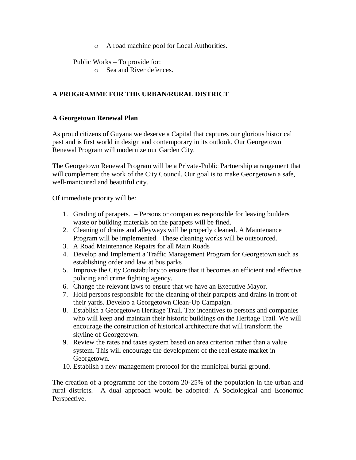o A road machine pool for Local Authorities.

Public Works – To provide for:

o Sea and River defences.

#### **A PROGRAMME FOR THE URBAN/RURAL DISTRICT**

#### **A Georgetown Renewal Plan**

As proud citizens of Guyana we deserve a Capital that captures our glorious historical past and is first world in design and contemporary in its outlook. Our Georgetown Renewal Program will modernize our Garden City.

The Georgetown Renewal Program will be a Private-Public Partnership arrangement that will complement the work of the City Council. Our goal is to make Georgetown a safe, well-manicured and beautiful city.

Of immediate priority will be:

- 1. Grading of parapets. Persons or companies responsible for leaving builders waste or building materials on the parapets will be fined.
- 2. Cleaning of drains and alleyways will be properly cleaned. A Maintenance Program will be implemented. These cleaning works will be outsourced.
- 3. A Road Maintenance Repairs for all Main Roads
- 4. Develop and Implement a Traffic Management Program for Georgetown such as establishing order and law at bus parks
- 5. Improve the City Constabulary to ensure that it becomes an efficient and effective policing and crime fighting agency.
- 6. Change the relevant laws to ensure that we have an Executive Mayor.
- 7. Hold persons responsible for the cleaning of their parapets and drains in front of their yards. Develop a Georgetown Clean-Up Campaign.
- 8. Establish a Georgetown Heritage Trail. Tax incentives to persons and companies who will keep and maintain their historic buildings on the Heritage Trail. We will encourage the construction of historical architecture that will transform the skyline of Georgetown.
- 9. Review the rates and taxes system based on area criterion rather than a value system. This will encourage the development of the real estate market in Georgetown.
- 10. Establish a new management protocol for the municipal burial ground.

The creation of a programme for the bottom 20-25% of the population in the urban and rural districts. A dual approach would be adopted: A Sociological and Economic Perspective.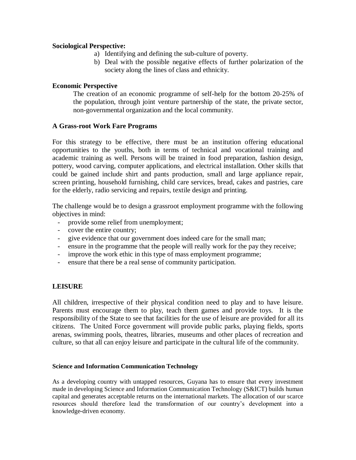#### **Sociological Perspective:**

- a) Identifying and defining the sub-culture of poverty.
- b) Deal with the possible negative effects of further polarization of the society along the lines of class and ethnicity.

#### **Economic Perspective**

The creation of an economic programme of self-help for the bottom 20-25% of the population, through joint venture partnership of the state, the private sector, non-governmental organization and the local community.

#### **A Grass-root Work Fare Programs**

For this strategy to be effective, there must be an institution offering educational opportunities to the youths, both in terms of technical and vocational training and academic training as well. Persons will be trained in food preparation, fashion design, pottery, wood carving, computer applications, and electrical installation. Other skills that could be gained include shirt and pants production, small and large appliance repair, screen printing, household furnishing, child care services, bread, cakes and pastries, care for the elderly, radio servicing and repairs, textile design and printing.

The challenge would be to design a grassroot employment programme with the following objectives in mind:

- provide some relief from unemployment;
- cover the entire country;
- give evidence that our government does indeed care for the small man;
- ensure in the programme that the people will really work for the pay they receive;
- improve the work ethic in this type of mass employment programme;
- ensure that there be a real sense of community participation.

#### **LEISURE**

All children, irrespective of their physical condition need to play and to have leisure. Parents must encourage them to play, teach them games and provide toys. It is the responsibility of the State to see that facilities for the use of leisure are provided for all its citizens. The United Force government will provide public parks, playing fields, sports arenas, swimming pools, theatres, libraries, museums and other places of recreation and culture, so that all can enjoy leisure and participate in the cultural life of the community.

#### **Science and Information Communication Technology**

As a developing country with untapped resources, Guyana has to ensure that every investment made in developing Science and Information Communication Technology (S&ICT) builds human capital and generates acceptable returns on the international markets. The allocation of our scarce resources should therefore lead the transformation of our country's development into a knowledge-driven economy.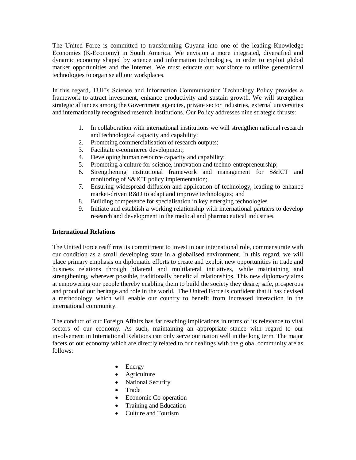The United Force is committed to transforming Guyana into one of the leading Knowledge Economies (K-Economy) in South America. We envision a more integrated, diversified and dynamic economy shaped by science and information technologies, in order to exploit global market opportunities and the Internet. We must educate our workforce to utilize generational technologies to organise all our workplaces.

In this regard, TUF's Science and Information Communication Technology Policy provides a framework to attract investment, enhance productivity and sustain growth. We will strengthen strategic alliances among the Government agencies, private sector industries, external universities and internationally recognized research institutions. Our Policy addresses nine strategic thrusts:

- 1. In collaboration with international institutions we will strengthen national research and technological capacity and capability;
- 2. Promoting commercialisation of research outputs;
- 3. Facilitate e-commerce development;
- 4. Developing human resource capacity and capability;
- 5. Promoting a culture for science, innovation and techno-entrepreneurship;
- 6. Strengthening institutional framework and management for S&ICT and monitoring of S&ICT policy implementation;
- 7. Ensuring widespread diffusion and application of technology, leading to enhance market-driven R&D to adapt and improve technologies; and
- 8. Building competence for specialisation in key emerging technologies
- 9. Initiate and establish a working relationship with international partners to develop research and development in the medical and pharmaceutical industries.

#### **International Relations**

The United Force reaffirms its commitment to invest in our international role, commensurate with our condition as a small developing state in a globalised environment. In this regard, we will place primary emphasis on diplomatic efforts to create and exploit new opportunities in trade and business relations through bilateral and multilateral initiatives, while maintaining and strengthening, wherever possible, traditionally beneficial relationships. This new diplomacy aims at empowering our people thereby enabling them to build the society they desire; safe, prosperous and proud of our heritage and role in the world. The United Force is confident that it has devised a methodology which will enable our country to benefit from increased interaction in the international community.

The conduct of our Foreign Affairs has far reaching implications in terms of its relevance to vital sectors of our economy. As such, maintaining an appropriate stance with regard to our involvement in International Relations can only serve our nation well in the long term. The major facets of our economy which are directly related to our dealings with the global community are as follows:

- Energy
- Agriculture
- National Security
- Trade
- Economic Co-operation
- Training and Education
- Culture and Tourism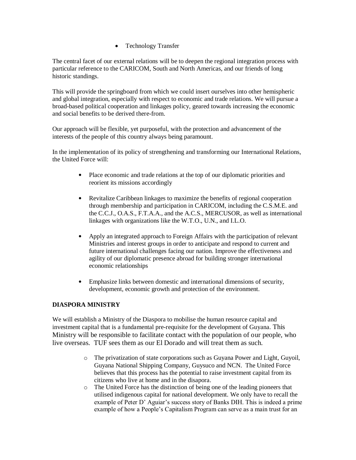• Technology Transfer

The central facet of our external relations will be to deepen the regional integration process with particular reference to the CARICOM, South and North Americas, and our friends of long historic standings.

This will provide the springboard from which we could insert ourselves into other hemispheric and global integration, especially with respect to economic and trade relations. We will pursue a broad-based political cooperation and linkages policy, geared towards increasing the economic and social benefits to be derived there-from.

Our approach will be flexible, yet purposeful, with the protection and advancement of the interests of the people of this country always being paramount.

In the implementation of its policy of strengthening and transforming our International Relations, the United Force will:

- Place economic and trade relations at the top of our diplomatic priorities and reorient its missions accordingly
- Revitalize Caribbean linkages to maximize the benefits of regional cooperation through membership and participation in CARICOM, including the C.S.M.E. and the C.C.J., O.A.S., F.T.A.A., and the A.C.S., MERCUSOR, as well as international linkages with organizations like the W.T.O., U.N., and I.L.O.
- Apply an integrated approach to Foreign Affairs with the participation of relevant Ministries and interest groups in order to anticipate and respond to current and future international challenges facing our nation. Improve the effectiveness and agility of our diplomatic presence abroad for building stronger international economic relationships
- Emphasize links between domestic and international dimensions of security, development, economic growth and protection of the environment.

#### **DIASPORA MINISTRY**

We will establish a Ministry of the Diaspora to mobilise the human resource capital and investment capital that is a fundamental pre-requisite for the development of Guyana. This Ministry will be responsible to facilitate contact with the population of our people, who live overseas. TUF sees them as our El Dorado and will treat them as such.

- o The privatization of state corporations such as Guyana Power and Light, Guyoil, Guyana National Shipping Company, Guysuco and NCN. The United Force believes that this process has the potential to raise investment capital from its citizens who live at home and in the disapora.
- o The United Force has the distinction of being one of the leading pioneers that utilised indigenous capital for national development. We only have to recall the example of Peter D' Aguiar's success story of Banks DIH. This is indeed a prime example of how a People's Capitalism Program can serve as a main trust for an